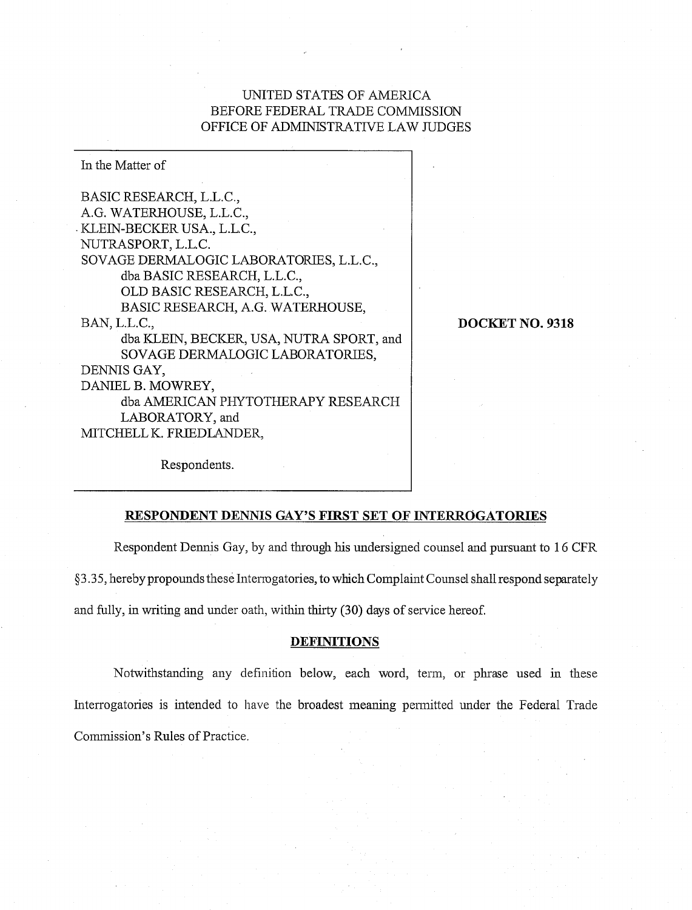# UNITED STATES OF AMERICA BEFORE FEDERAL TRADE COMMISSION OFFICE OF ADMINISTRATIVE LAW JUDGES

In the Matter of BASIC RESEARCH, L.L.C., A.G. WATERHOUSE, L.L.C., KLEIN-BECKER USA., L.L.C., NUTRASPORT, L.L.C. SOVAGE DERMALOGIC LABORATORIES, L.L.C., dba BASIC RESEARCH, L.L.C., OLD BASIC RESEARCH, L.L.C., BASIC RESEARCH, A.G. WATERHOUSE, BAN, L.L.C., dba KLEIN, BECKER, USA, NUTRA SPORT, and SOVAGE DERMALOGIC LABORATORIES, DENNIS GAY, DANIEL B. MOWREY, dba AMERICAN PHYTOTHERAPY RESEARCH LABORATORY, and MITCHELL K. FRIEDLANDER,

**DOCKET NO. 9318** 

Respondents.

## **RESPONDENT DENNIS GAY'S FIRST SET OF LNTERROGATORTES**

Respondent Dennis Gay, by and through his undersigned counsel and pursuant to 16 CFR

 $§$ 3.35, hereby propounds these Intermogatories, to which Complaint Counsel shall respond separately

and fully, in writing and under oath, within thirty  $(30)$  days of service hereof.

#### **DEFINITIONS**

Notwithstanding any definition below, each word, teim, or phrase used in these Interrogatories is intended to have the broadest meaning permitted under the Federal Trade Commission's Rules of Practice.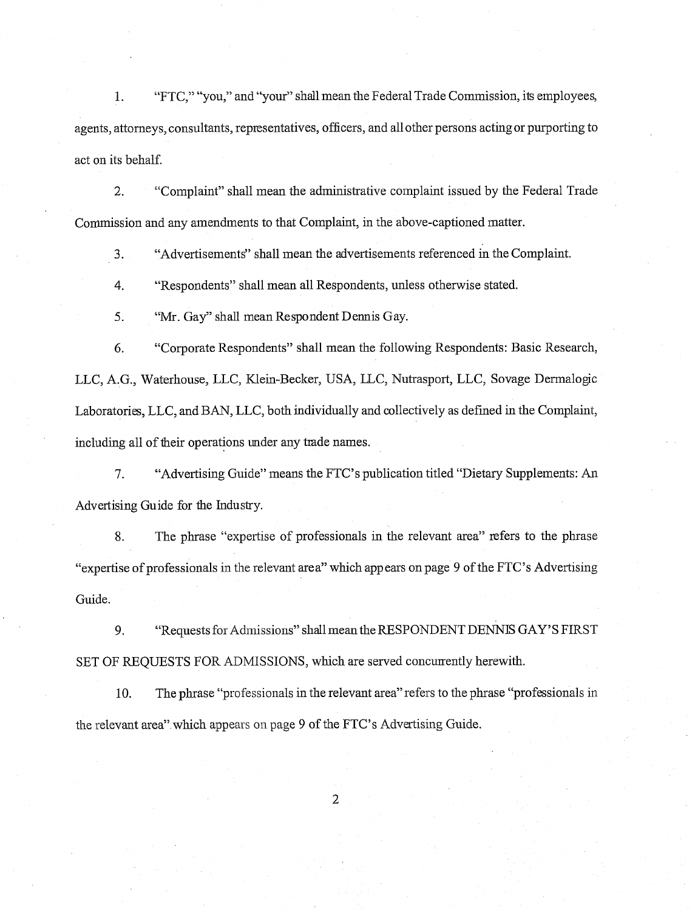1. "FTC," "you," and "your" shall mean the Federal Trade Commission, its employees, agents, attorneys, consultants, representatives, officers, and all other persons acting or purporting to act on its behalf.

2. ccComplaint" shall mean the administrative complaint issued by the Federal Trade Commission and any amendments to that Complaint, in the above-captioned matter.

**3.** "Advertisements" shall mean the advertisements referenced in the Complaint.

4. "Respondents" shall mean all Respondents, unless otherwise stated.

**5.** "Mr. Gay" shall mean Respondent Dennis Gay.

6. "Corporate Respondents" shall mean the following Respondents: Basic Research, LLC, A.G., Waterhouse, LLC, Klein-Becker, USA, LLC, Nutrasport, LLC, Sovage Dermalogic Laboratories, LLC, and BAN, LLC, both individually and collectively as defmed in the Complaint, including all of their operations under any trade names.

7. "Advertising Guide" means the FTC's publication titled "Dietary Supplements: An Advertising Guide for the Industry.

**8.** The phrase "expertise of professionals in the relevant area" refers to the phrase "expertise of professionals in the relevant area" which appears onpage 9 of the FTC's Advertising Guide.

9. "Requests for Admissions" shall mean the RESPONDENT DENNIS GAY'S FIRST SET OF REQUESTS FOR ADMISSIONS, which are served concurrently herewith.

10. The phrase "professionals in the relevant area" refers to the phrase "professionals in the relevant area" which appears on page 9 of the FTC's Advertising Guide.

 $\overline{2}$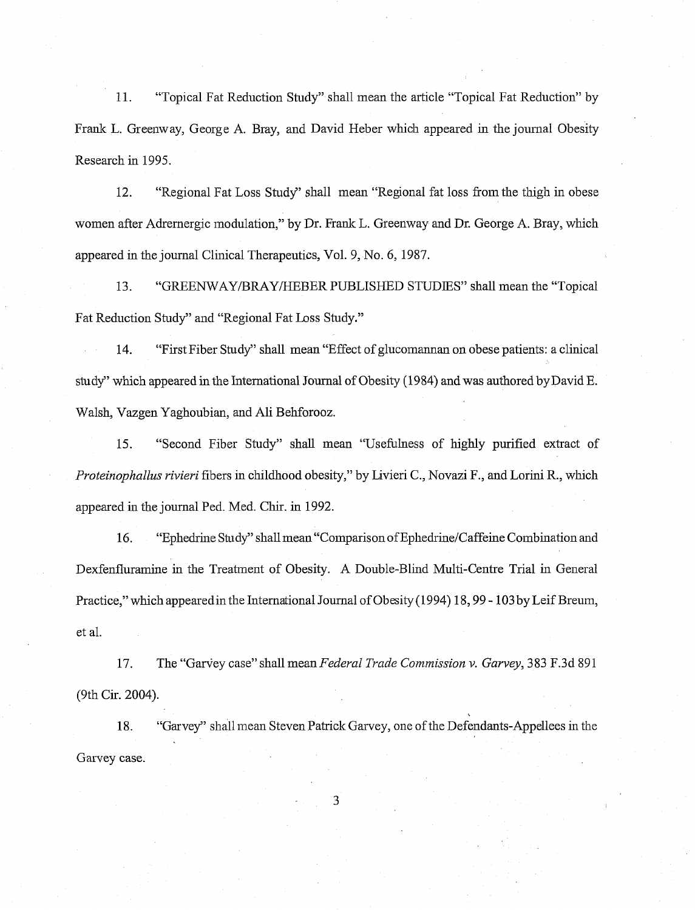11. "Topical Fat Reduction Study" shall mean the article "Topical Fat Reduction" by Frank L. Greenway, George A. Bray, and David Heber which appeared in the journal Obesity Research in 1995.

12. "Regional Fat Loss Study" shall mean "Regional fat loss fiom the thigh in obese women after Adrernergic modulation," by Dr. Frank L. Greenway and Dr. George A. Bray, which appeared in the journal Clinical Therapeutics, Vol. 9, No. 6, 1987.

13. "GREENWAY/BRAY/HEBER PUBLISHED STUDIES" shall mean the "Topical Fat Reduction Study" and "Regional Fat Loss Study."

14. "First Fiber Study" shall mean "Effect of glucomannan on obese patients: a clinical study" which appeared in the International Journal of Obesity (1984) and was authored byDavid E. Walsh, Vazgen Yaghoubian, and Ali Behforooz.

15. "Second Fiber Study" shall mean "Usefulness of highly purified extract of Proteinophallus rivieri fibers in childhood obesity," by Livieri C., Novazi F., and Lorini R., which appeared in the journal Ped. Med. Chir. in 1992.

16. "Ephedrine Study" shall mean "Comparison of Ephedrine/Caffeine Combination and Dexfenfluramine in the Treatment of Obesity. A Double-Blind Multi-Centre Trial in General Practice," which appearedin the International Journal of Obesity(1994) 18,99 - 103 by Leif Breum, et al.

17. The "Garvey case" shall mean Federal Trade Commission v. Garvey, 383 F.3d 891 (9th Cir. 2004).

18. "Garvey" shall mean Steven Patrick Garvey, one of the Defendants-Appellees in the Garvey case.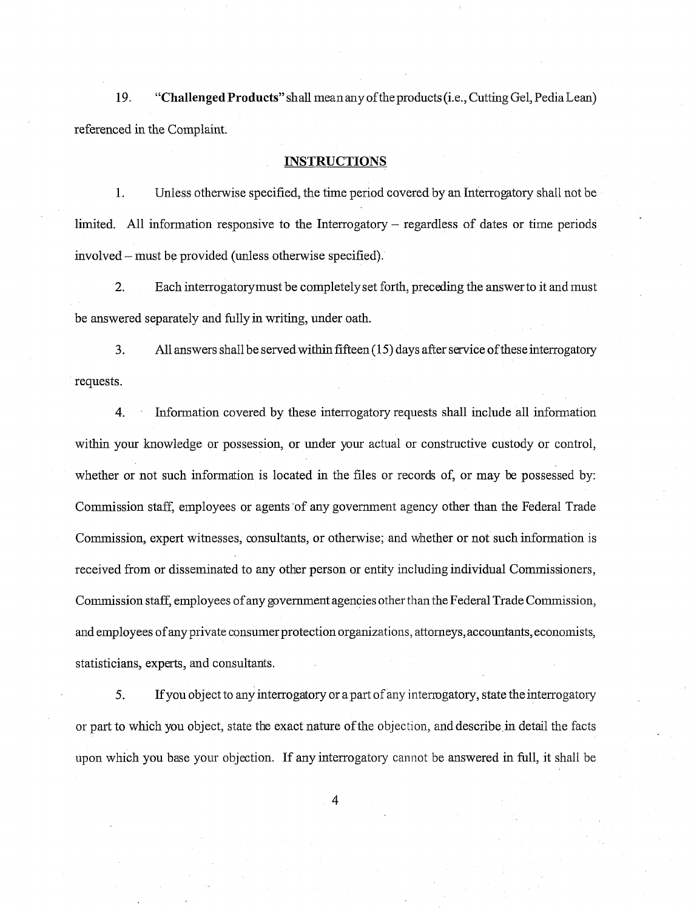19. **"Challenged Products"** shall mean any ofthe products (i.e., Cutting Gel, Pedia Lean) referenced in the Complaint.

#### **INSTRUCTIONS**

1. Unless otherwise specified, the time period covered by an Interrogptory shall not be limited. All information responsive to the Interrogatory – regardless of dates or time periods involved – must be provided (unless otherwise specified).

2. Each interrogatorymust be completely set forth, preceding the answer to it and must be answered separately and fully in writing, under oath.

**3.** All answers shall be served within fifteen (1 5) days after service of these interrogatory requests.

4. Information covered by these interrogatory requests shall include all information within your knowledge or possession, or under your actual or constructive custody or control, whether or not such information is located in the files or records of, or may be possessed by: Comnission staff, employees or agents of any govemnent agency other than the Federal Trade Commission, expert witnesses, consultants, or otherwise; and whether or not such information is received from or disseminated to any other person or entity including individual Commissioners, Commission staff, employees of any government agencies other than the Federal Trade Commission, and employees of any private consumer protection organizations, attorneys, accountants, economists, statisticians, experts, and consultants.

5. If you object to any interrogatory or a part of any interrogatory, state the interrogatory or part to which you object, state the exact nature of the objection, and describe in detail the facts upon which you base your objection. If any interrogatory cannot be answered in full, it shall be

 $\overline{4}$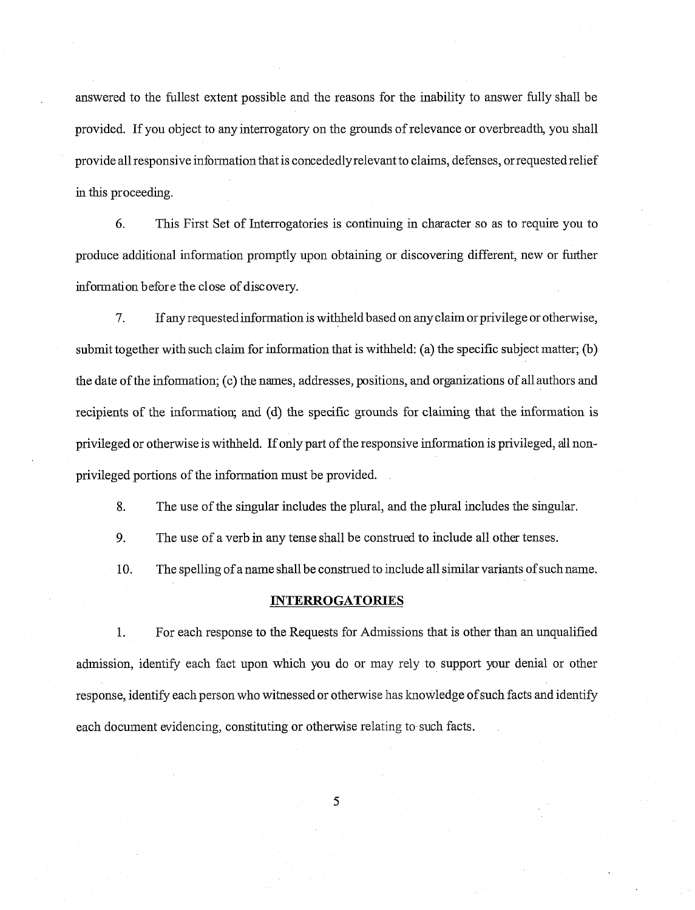answered to the filllest extent possible and the reasons for the inability to answer fully shall be provided. If you object to any interrogatory on the grounds of relevance or overbreadth, you shall provide all responsive information that is concededly relevant to claims, defenses, or requested relief in this proceeding.

*6.* This First Set of Interrogatories is continuing in character so as to require you to produce additional information promptly upon obtaining or discovering different, new or further infonnation before the close of discovery.

7. If any requested information is withheld based on any claim or privilege or otherwise, submit together with such claim for information that is withheld: (a) the specific subject matter; (b) the date of the infonnation; (c) the names, addresses, positions, and organizations of all authors and recipients of the information; and (d) the specific grounds for claiming that the infonnation is privileged or otherwise is withheld. If only part of the responsive information is privileged, all nonprivileged portions of the information must be provided.

8. The use of the singular includes the plural, and the plural includes the singular.

9. The use of a verb in any tense shall be construed to include all other tenses.

10. The spelling of a name shall be construed to include all similar variants of such name.

#### **INTERROGATORIES**

1. For each response to the Requests for Admissions that is other than an unqualified admission, identify each fact upon which you do or may rely to support your denial or other response, identify each person who witnessed or otherwise has knowledge of such facts and identify each document evidencing, constituting or otherwise relating to such facts.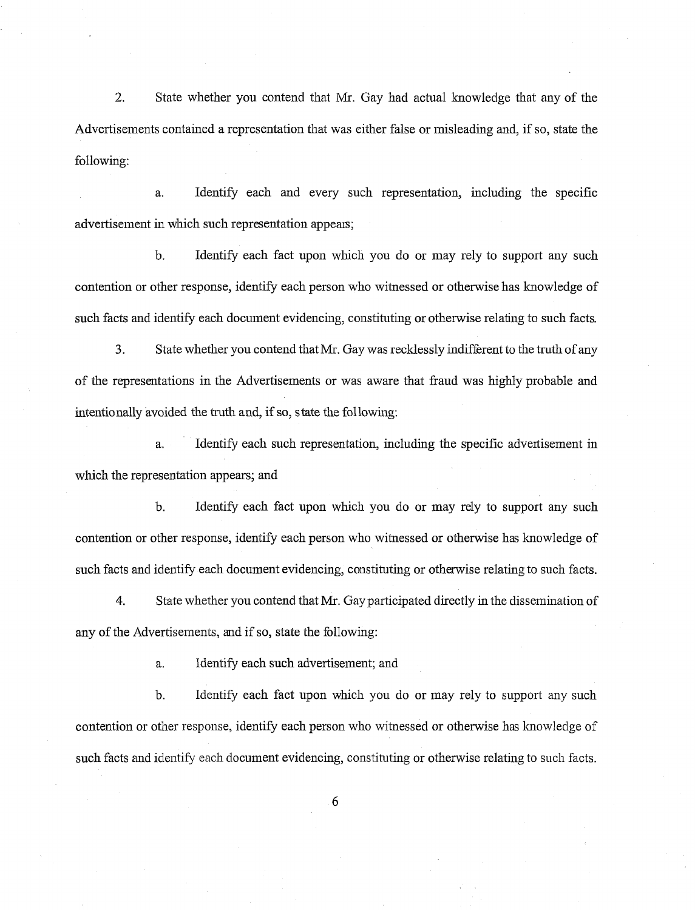2. State whether you contend that Mr. Gay had actual knowledge that any of the Advertisements contained a representation that was either false or misleading and, if so, state the following:

a. Identify each and every such representation, including the specific advertisement in which such representation appears;

b. Identify each fact upon which you do or may rely to support any such contention or other response, identify each person who witnessed or otherwise has knowledge of such facts and identify each document evidencing, constituting or otherwise relating to such facts.

3. State whether you contend that Mr. Gay was recklessly indifferent to the truth of any of the representations in the Advertisements or was aware that fiaud was highly probable and intentionally avoided the truth and, if so, state the following:

a. Identify each such representation, including the specific advertisement in which the representation appears; and

b. Identify each fact upon which you do or may rely to support any such contention or other response, identify each person who witnessed or otherwise has knowledge of such facts and identify each document evidencing, constituting or otherwise relating to such facts.

4. State whether you contend that Mr. Gay participated directly in the dissemination of any of the Advertisements, and if so, state the following:

a. Identify each such advertisement; and

b. Identify each fact upon which you do or may rely to support any such contention or other response, identify each person who witnessed or otherwise has knowledge of such facts and identify each document evidencing, constituting or otherwise relating to such facts.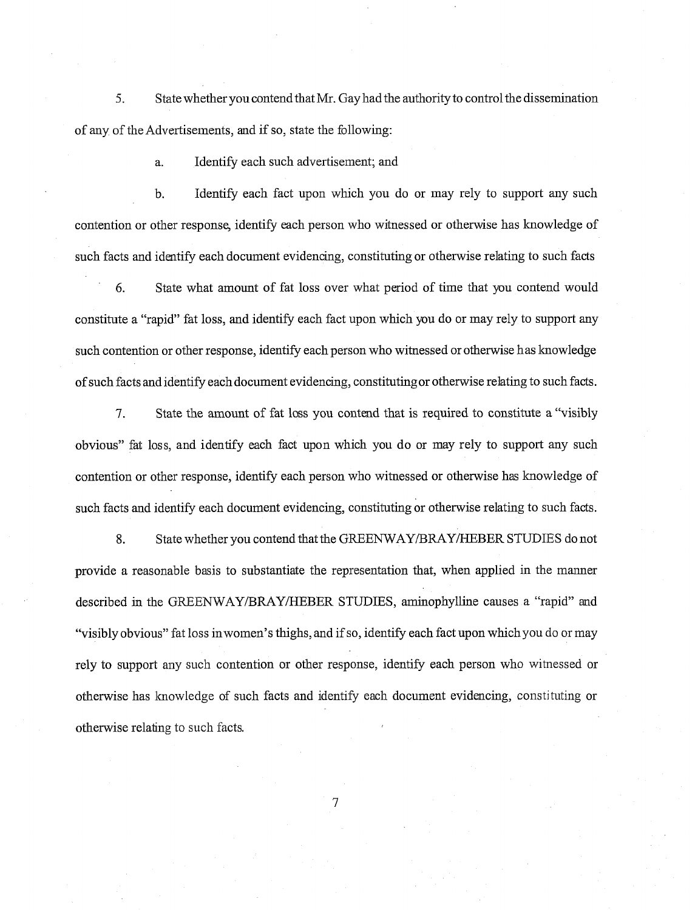*5.* State whether you contend that Mr. Gay had the authority to control the dissemination of any of the Advertisements, and if so, state the following:

a. Identify each such advertisement; and

b. Identify each fact upon which you do or may rely to support any such contention or other response, identify each person who witnessed or otherwise has knowledge of such facts and identify each document evidencing, constituting or otherwise relating to such facts

6. State what amount of fat loss over what period of time that you contend would constitute a "rapid" fat loss, and identify each fact upon which you do or may rely to support any such contention or other response, identify each person who witnessed or otherwise has knowledge of such facts and identify each document evidencing, constitutingor otherwise relating to such facts.

*7.* State the amount of fat loss you contend that is required to constitute a "visibly obvious" fat loss, and identify each fact upon which you do or may rely to support any such contention or other response, identify each person who witnessed or otherwise has knowledge of such facts and identify each document evidencing, constituting or otherwise relating to such facts.

8. State whether you contend that the GREENWAY/BRAY/HEBER STUDIES do not provide a reasonable basis to substantiate the representation that, when applied in the manner described in the GREENWAY/BRAY/HEBER STUDIES, aminophylline causes a "rapid" and "visibly obvious" fat loss inwomen's thighs, and if so, identify each fact upon which you do or may rely to support any such contention or other response, identify each person who witnessed or otherwise has lcnowledge of such facts and identify each document evidencing, constituting or otherwise relating to such facts.

 $\overline{7}$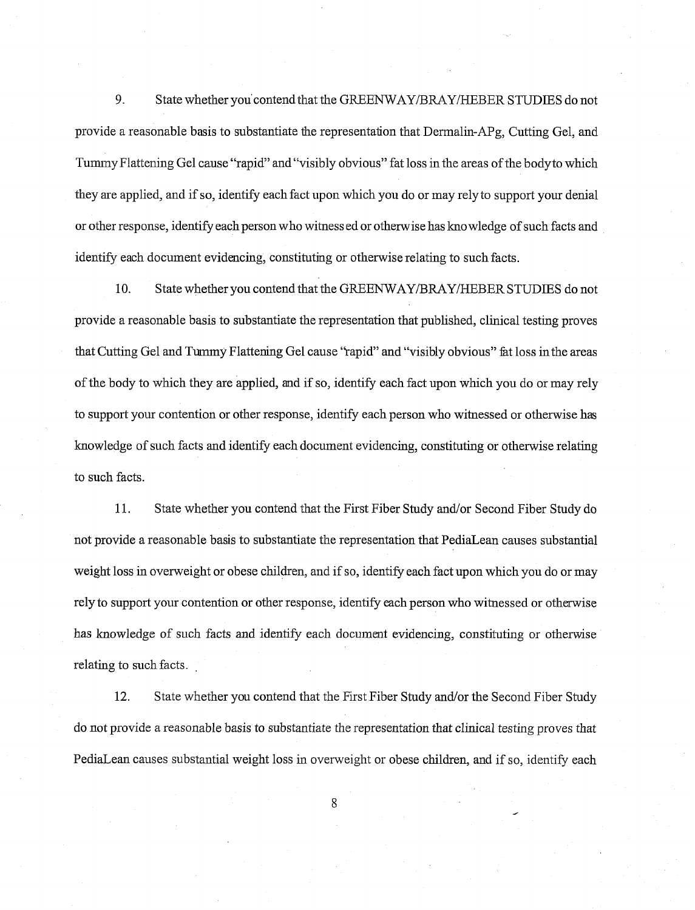9. State whether you contend that the GREENWAY/BRAY/HEBER STUDIES do not provide a reasonable basis to substantiate the representation that Dermalin-APg, Cutting Gel, and Tummy Flattening Gel cause "rapid" and "visibly obvious" fat loss in the areas of the bodyto which they are applied, and if so, identify each fact upon which you do or may rely to support your denial or other response, identify each person who witnessed or otherwise has knowledge of such facts and identify each document evidencing, constituting or otherwise relating to such facts.

10. State whether you contend that the GREENWAY/BRAY/HEBER STUDIES do not provide a reasonable basis to substantiate the representation that published, clinical testing proves that Cutting Gel and Tummy Flattening Gel cause "rapid" and "visibly obvious" fat loss in the areas of the body to which they are applied, and if so, identify each fact upon which you do or may rely to support your contention or other response, identify each person who witnessed or otherwise has knowledge of such facts and identify each document evidencing, constituting or otherwise relating to such facts.

11. State whether you contend that the First Fiber Study and/or Second Fiber Study do not provide a reasonable basis to substantiate the representation that PediaLean causes substantial weight loss in overweight or obese children, and if so, identify each fact upon which you do or may rely to support your contention or other response, identify each person who witnessed or otherwise has knowledge of such facts and identify each document evidencing, constituting or otherwise relating to such facts.

12. State whether you contend that the First Fiber Study and/or the Second Fiber Study do not provide a reasonable basis to substantiate the representation that clinical testing proves that PediaLean causes substantial weight loss in overweight or obese children, and if so, identify each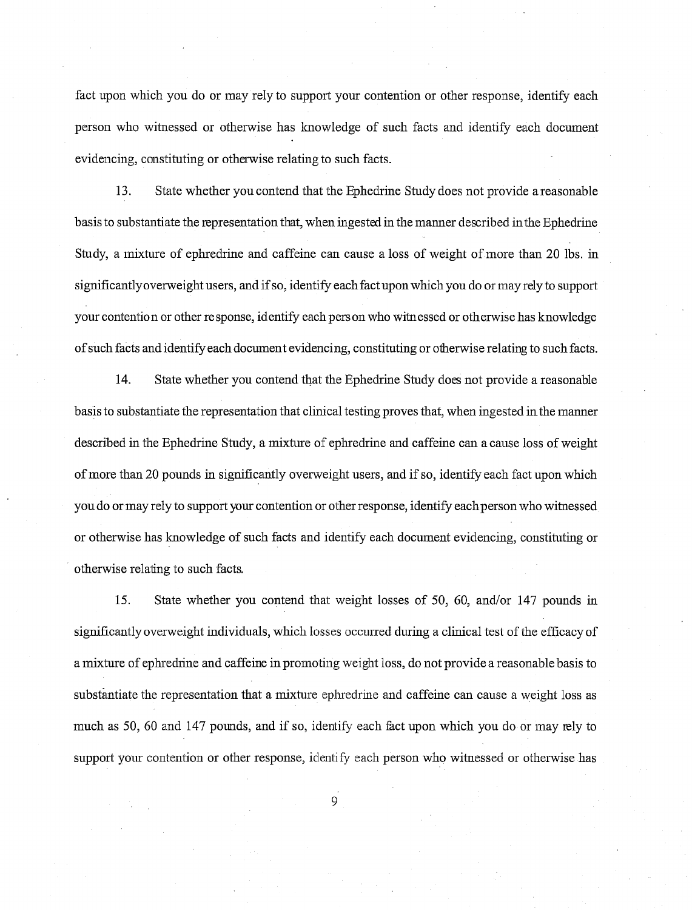fact upon which you do or may rely to support your contention or other response, identify each person who witnessed or otherwise has knowledge of such facts and identify each document evidencing, constituting or otherwise relating to such facts.

13. State whether you contend that the Ephedrine Study does not provide a reasonable basis to substantiate the representation that, when ingested in the manner described inthe Ephedrine Study, a mixture of ephredrine and caffeine can cause a loss of weight of more than 20 lbs. in significantlyoverweight users, and if so, identify each fact upon which you do or may rely to support your contention or other response, identify each person who witnessed or otherwise has knowledge of such facts and identify eachdocument evidencing, constituting or otherwise relating to such facts.

14. State whether you contend that the Ephedrine Study does not provide a reasonable basis to substantiate the representation that clinical testing proves that, when ingested in the manner described in the Ephedrine Study, a mixture of ephredrine and caffeine can a cause loss of weight of more than 20 pounds in significantly overweight users, and if so, identify each fact upon which you do or may rely to support your contention or other response, identify eachperson who witnessed or otherwise has laowledge of such facts and identify each document evidencing, constituting or otherwise relating to such facts.

15. State whether you contend that weight losses of 50, 60, and/or 147 pounds in significantly overweight individuals, which losses occurred during a clinical test of the efficacy of a mixture of ephrednne and caffeine in promoting weight loss, do not provide a reasonable basis to substantiate the representation that a mixture ephredrine and caffeine can cause a weight loss as much as 50, 60 and 147 pounds, and if so, identify each fact upon which you do or may rely to support your contention or other response, identify each person who witnessed or otherwise has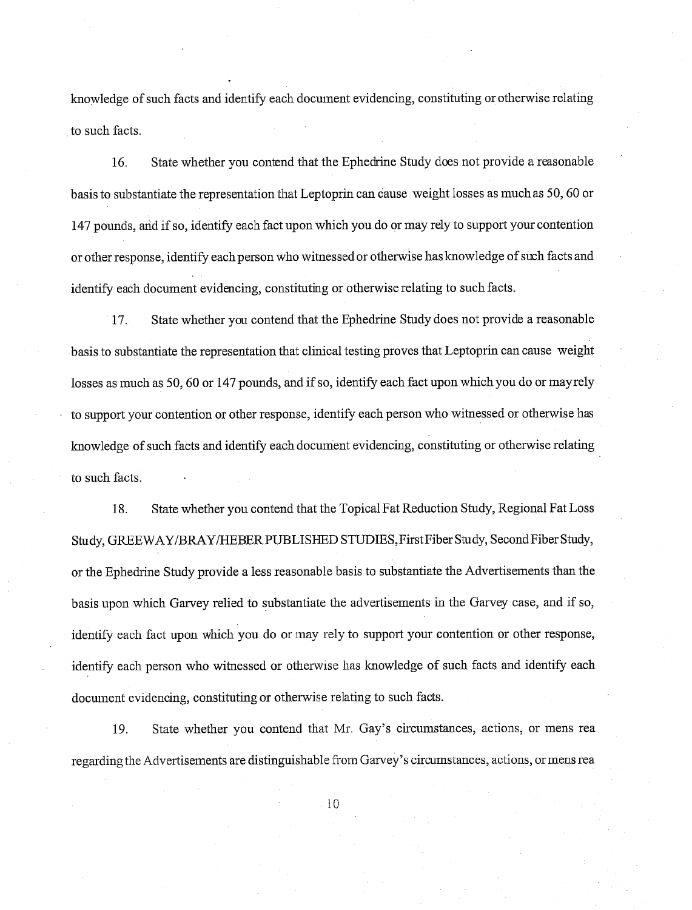knowledge of such facts and identify each document evidencing, constituting or otherwise relating to such facts.

16. State whether you contend that the Ephedrine Study does not provide a reasonable basis to substantiate the representation that Leptoprin can cause weight losses as muchas 50,60 or 147 pounds, and if so, identify each fact upon which you do or may rely to support your contention or other response, identify each person who witnessedor otherwise has knowledge of such facts and identify each document evidencing, constituting or otherwise relating to such facts.

17. State whether you contend that the Ephedrine Study does not provide a reasonable basis to substantiate the representation that clinical testing proves that Leptoprin can cause weight losses as much as 50,60 or 147 pounds, and if so, identify each fact upon which you do or mayrely to support your contention or other response, identify each person who witnessed or otherwise has lnowledge of such facts and identify each document evidencing, constituting or otherwise relating to such facts.

18. State whether you contend that the Topical Fat Reduction Study, Regional Fat Loss Study, GREEWAYIBRAYIHEBER PUBLISHED STUDIES, First Fiber Study, Second Fiber Study, or the Ephedrine Study provide a less reasonable basis to substantiate the Advertisements than the basis upon which Garvey relied to substantiate the advertisements in the Garvey case, and if so, identify each fact upon which you do or may rely to support your contention or other response, identify each person who witnessed or otherwise has knowledge of such facts and identify each document evidencing, constituting or otherwise relating to such facts.

19. State whether you contend that Mr. Gay's circumstances, actions, or inens rea regarding the Advertisements are distinguishable from Garvey's circumstances, actions, or mens rea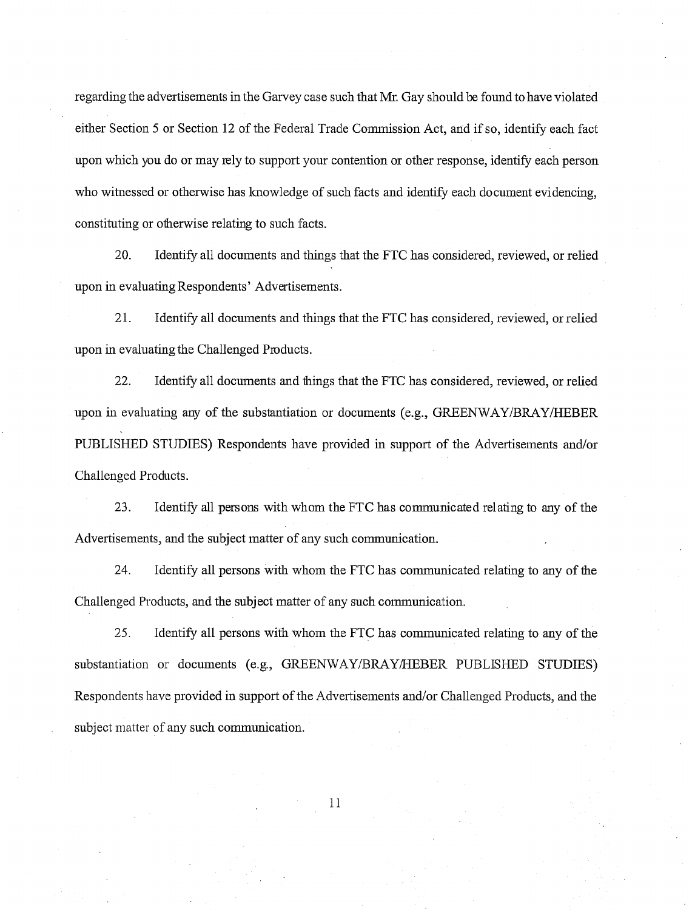regarding the advertisements in the Gamey case such that Mr. Gay should be found to have violated either Section 5 or Section 12 of the Federal Trade Commission Act, and if so, identify each fact upon which you do or may rely to support your contention or other response, identify each person who witnessed or otherwise has knowledge of such facts and identify each document evidencing, constituting or otherwise relating to such facts.

20. Identify all documents and things that the FTC has considered, reviewed, or relied upon in evaluating Respondents' Advertisements.

21. Identify all documents and things that the FTC has considered, reviewed, or relied upon in evaluating the Challenged Products.

22. Identify all documents and things that the FTC has considered, reviewed, or relied upon in evaluating any of the substantiation or documents (e.g., GREENWAY/BRAY/HEBER PUBLISHED STUDIES) Respondents have provided in support of the Advertisements andor Challenged Products.

23. Identify **all** persons with whom the FTC has comnunicated relating to any of the Advertisements, and the subject matter of any such communication.

24. Identify all persons with whom the FTC has communicated relating to any of the Challenged Products, and the subject matter of any such communication.

*25.* Identify all persons with whom the FTC has comnunicated relating to any of the substantiation or documents (e.g., GREENWAY/BRAY/HEBER PUBLISHED STUDIES) Respondents have provided in support of the Advertisements and/or Challenged Products, and the subject matter of any such communication.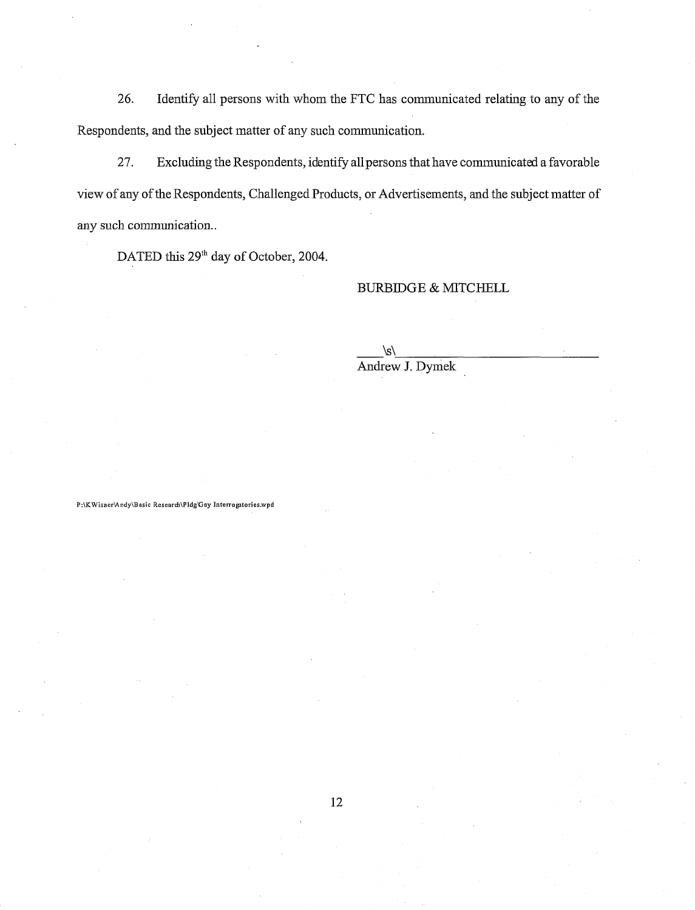26. Identify all persons with whom the FTC has communicated relating to any of the Respondents, and the subject matter of any such communication.

27. Excluding the Respondents, identify all persons that have communicated a favorable view of any of the Respondents, Challenged Products, or Advertisements, and the subject matter of any such communication..

DATED this 29<sup>th</sup> day of October, 2004.

### BURBIDGE & MITCHELL

\s\ Andrew J. Dymek

P:\KWisner\Andy\Basic Research\Pldg\Gay Interrogatories.wpd